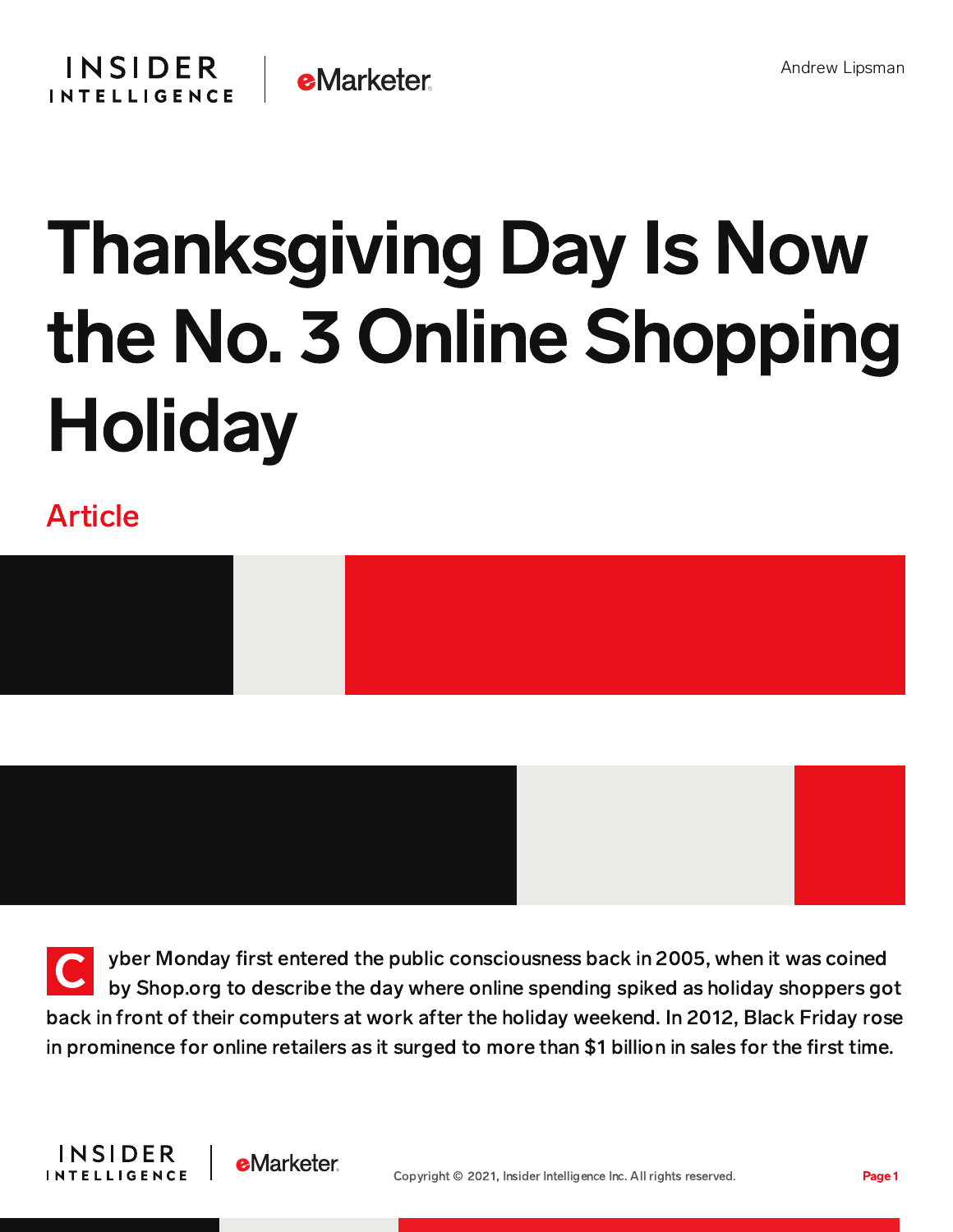

## Thanksgiving Day Is Now the No. 3 Online Shopping Holiday

## Article



 $\overline{\mathsf{C}}$ yber Monday first entered the public consciousness back in 2005, when it was coined by Shop.org to describe the day where online spending spiked as holiday shoppers got back in front of their computers at work after the holiday weekend. In 2012, Black Friday rose in prominence for online retailers as it surged to more than \$1 billion in sales for the first time.

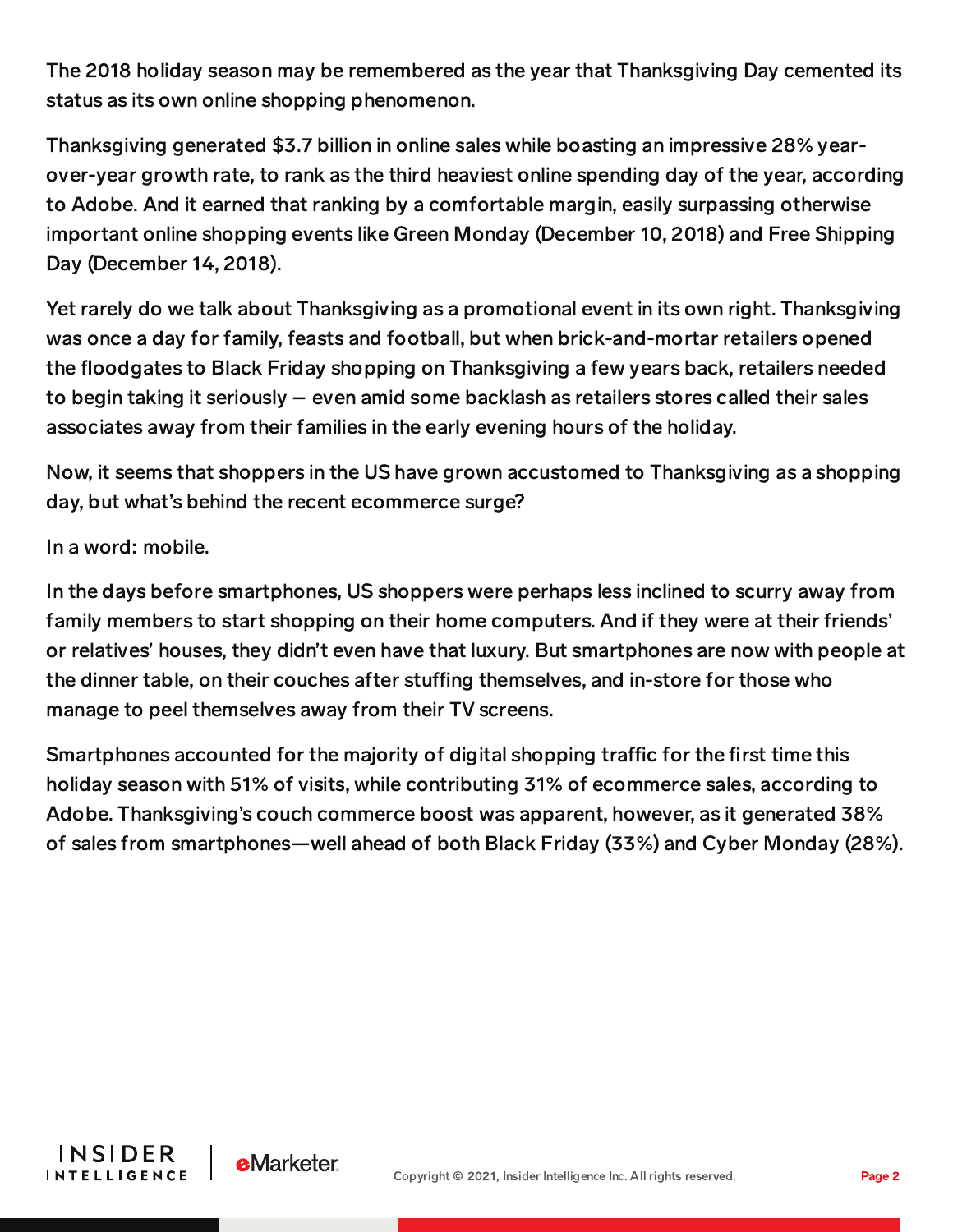The 2018 holiday season may be remembered as the year that Thanksgiving Day cemented its status as its own online shopping phenomenon.

Thanksgiving generated \$3.7 billion in online sales while boasting an impressive 28% yearover-year growth rate, to rank as the third heaviest online spending day of the year, according to Adobe. And it earned that ranking by a comfortable margin, easily surpassing otherwise important online shopping events like Green Monday (December 10, 2018) and Free Shipping Day (December 14, 2018).

Yet rarely do we talk about Thanksgiving as a promotional event in its own right. Thanksgiving was once a day for family, feasts and football, but when brick-and-mortar retailers opened the floodgates to Black Friday shopping on Thanksgiving a few years back, retailers needed to begin taking it seriously – even amid some backlash as retailers stores called their sales associates away from their families in the early evening hours of the holiday.

Now, it seems that shoppers in the US have grown accustomed to Thanksgiving as a shopping day, but what's behind the recent ecommerce surge?

In a word: mobile.

In the days before smartphones, US shoppers were perhaps less inclined to scurry away from family members to start shopping on their home computers. And if they were at their friends' or relatives' houses, they didn't even have that luxury. But smartphones are now with people at the dinner table, on their couches after stuffing themselves, and in-store for those who manage to peel themselves away from their TV screens.

Smartphones accounted for the majority of digital shopping traffic for the first time this holiday season with 51% of visits, while contributing 31% of ecommerce sales, according to Adobe. Thanksgiving's couch commerce boost was apparent, however, as it generated 38% of sales from smartphones—well ahead of both Black Friday (33%) and Cyber Monday (28%).



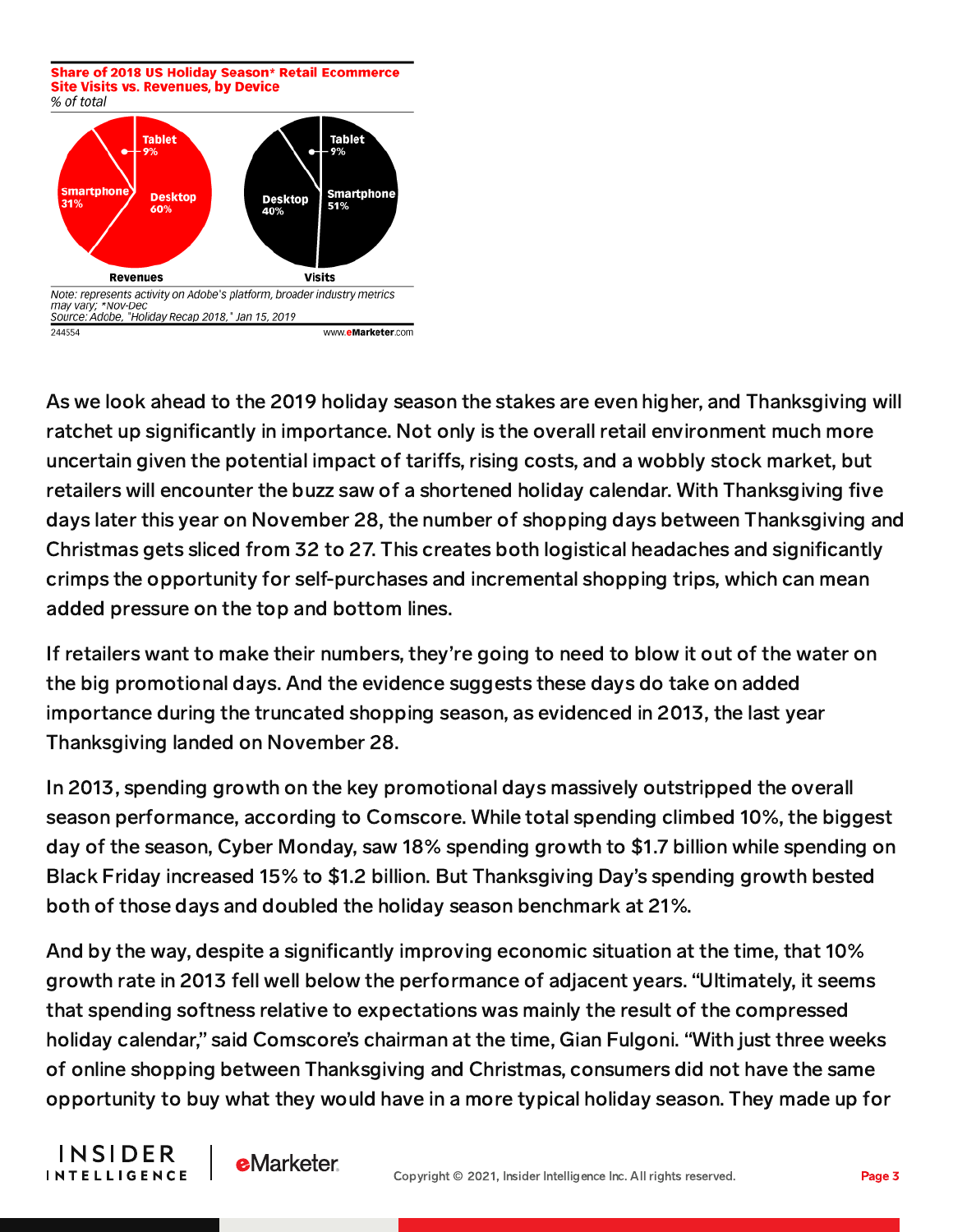Share of 2018 US Holiday Season\* Retail Ecommerce **Site Visits vs. Revenues, by Device** 



As we look ahead to the 2019 holiday season the stakes are even higher, and Thanksgiving will ratchet up significantly in importance. Not only is the overall retail environment much more uncertain given the potential impact of tariffs, rising costs, and a wobbly stock market, but retailers will encounter the buzz saw of a shortened holiday calendar. With Thanksgiving five days later this year on November 28, the number of shopping days between Thanksgiving and Christmas gets sliced from 32 to 27. This creates both logistical headaches and significantly crimps the opportunity for self-purchases and incremental shopping trips, which can mean added pressure on the top and bottom lines.

If retailers want to make their numbers, they're going to need to blow it out of the water on the big promotional days. And the evidence suggests these days do take on added importance during the truncated shopping season, as evidenced in 2013, the last year Thanksgiving landed on November 28.

In 2013, spending growth on the key promotional days massively outstripped the overall season performance, according to Comscore. While total spending climbed 10%, the biggest day of the season, Cyber Monday, saw 18% spending growth to \$1.7 billion while spending on Black Friday increased 15% to \$1.2 billion. But Thanksgiving Day's spending growth bested both of those days and doubled the holiday season benchmark at 21%.

And by the way, despite a significantly improving economic situation at the time, that 10% growth rate in 2013 fell well below the performance of adjacent years. "Ultimately, it seems that spending softness relative to expectations was mainly the result of the compressed holiday calendar," said Comscore's chairman at the time, Gian Fulgoni. "With just three weeks of online shopping between Thanksgiving and Christmas, consumers did not have the same opportunity to buy what they would have in a more typical holiday season. They made up for